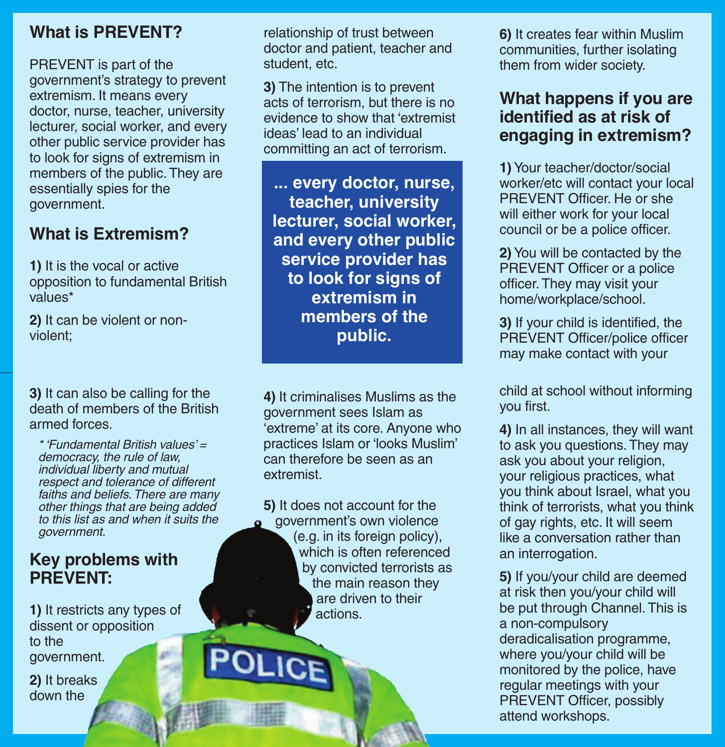#### **What is PREVENT?**

PREVENT is part of the government's strategy to prevent extremism. It means every doctor, nurse, teacher, university lecturer, social worker, and every other public service provider has to look for signs of extremism in members of the public.They are essentially spies for the government.

#### **What is Extremism?**

**1)** It is the vocal or active opposition to fundamental British values\*

**2)** It can be violent or nonviolent;

**3)** It can also be calling for the death of members of the British armed forces.

*\* 'Fundamental British values' = democracy, the rule of law, individual liberty and mutual respect and tolerance of different faiths and beliefs.There are many other things that are being added to this list as and when it suits the government.*

#### **Key problems with PREVENT:**

**1)** It restricts any types of dissent or opposition to the government.

**2)** It breaks down the

relationship of trust between doctor and patient, teacher and student, etc.

**3)** The intention is to prevent acts of terrorism, but there is no evidence to show that 'extremist ideas' lead to an individual committing an act of terrorism.

**... every doctor, nurse, teacher, university lecturer, social worker, and every other public service provider has to look for signs of extremism in members of the public.**

**4)** It criminalises Muslims as the government sees Islam as 'extreme' at its core. Anyone who practices Islam or 'looks Muslim' can therefore be seen as an extremist.

**5)** It does not account for the **a** government's own violence (e.g. in its foreign policy), which is often referenced by convicted terrorists as the main reason they are driven to their actions.

**6)** It creates fear within Muslim communities, further isolating them from wider society.

#### **What happens if you are identified as at risk of engaging in extremism?**

**1)**Your teacher/doctor/social worker/etc will contact your local PREVENT Officer. He or she will either work for your local council or be a police officer.

**2)**You will be contacted by the PREVENT Officer or a police officer.They may visit your home/workplace/school.

**3)** If your child is identified, the PREVENT Officer/police officer may make contact with your

child at school without informing you first.

**4)** In all instances, they will want to ask you questions. They may ask you about your religion, your religious practices, what you think about Israel, what you think of terrorists, what you think of gay rights, etc. It will seem like a conversation rather than an interrogation.

**5)** If you/your child are deemed at risk then you/your child will be put through Channel.This is a non-compulsory deradicalisation programme, where you/your child will be monitored by the police, have regular meetings with your PREVENT Officer, possibly attend workshops.